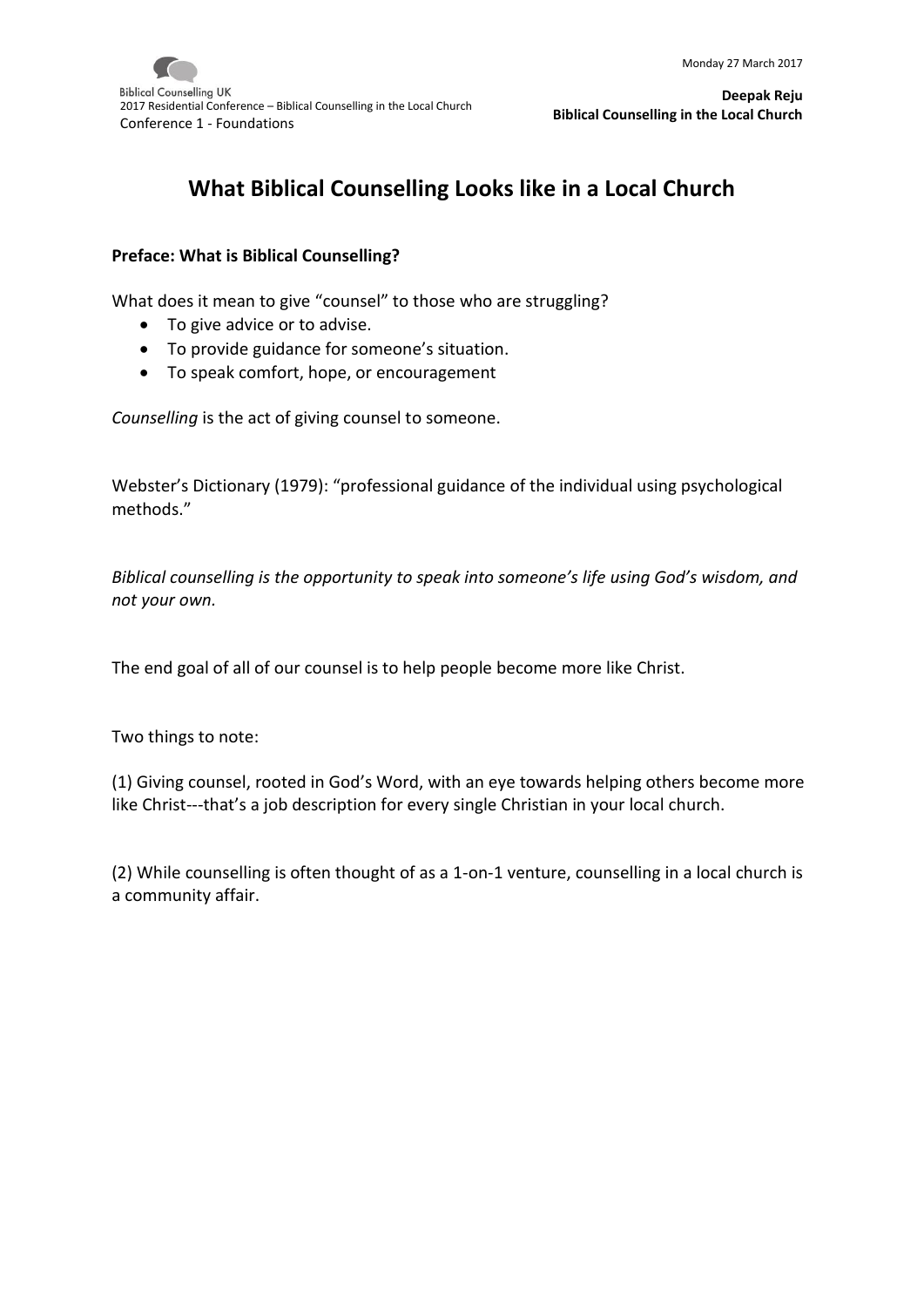

# **What Biblical Counselling Looks like in a Local Church**

#### **Preface: What is Biblical Counselling?**

What does it mean to give "counsel" to those who are struggling?

- To give advice or to advise.
- To provide guidance for someone's situation.
- To speak comfort, hope, or encouragement

*Counselling* is the act of giving counsel to someone.

Webster's Dictionary (1979): "professional guidance of the individual using psychological methods."

*Biblical counselling is the opportunity to speak into someone's life using God's wisdom, and not your own.*

The end goal of all of our counsel is to help people become more like Christ.

Two things to note:

(1) Giving counsel, rooted in God's Word, with an eye towards helping others become more like Christ---that's a job description for every single Christian in your local church.

(2) While counselling is often thought of as a 1-on-1 venture, counselling in a local church is a community affair.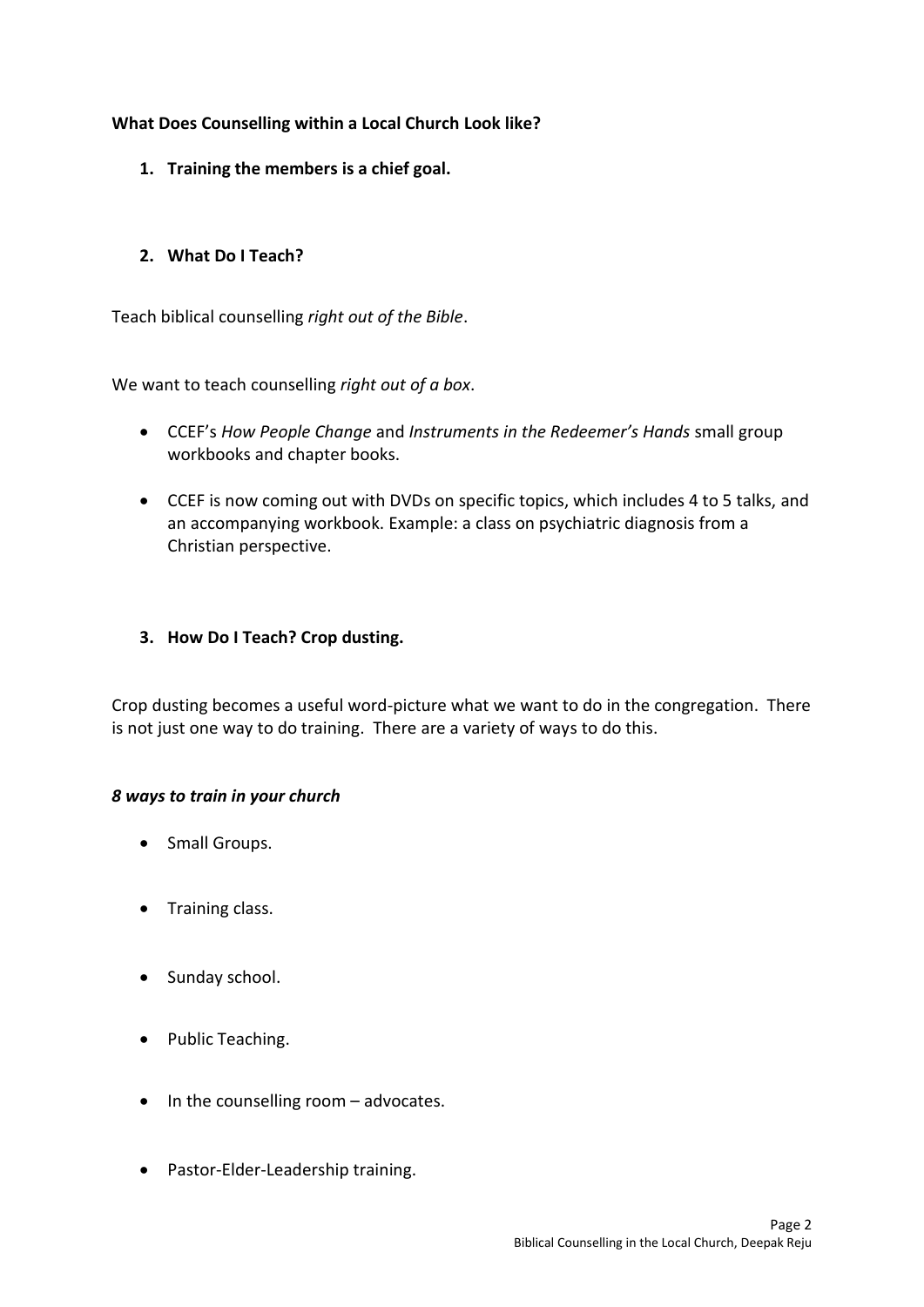## **What Does Counselling within a Local Church Look like?**

**1. Training the members is a chief goal.** 

## **2. What Do I Teach?**

Teach biblical counselling *right out of the Bible*.

We want to teach counselling *right out of a box*.

- CCEF's *How People Change* and *Instruments in the Redeemer's Hands* small group workbooks and chapter books.
- CCEF is now coming out with DVDs on specific topics, which includes 4 to 5 talks, and an accompanying workbook. Example: a class on psychiatric diagnosis from a Christian perspective.

## **3. How Do I Teach? Crop dusting.**

Crop dusting becomes a useful word-picture what we want to do in the congregation. There is not just one way to do training. There are a variety of ways to do this.

#### *8 ways to train in your church*

- Small Groups.
- Training class.
- Sunday school.
- Public Teaching.
- $\bullet$  In the counselling room advocates.
- Pastor-Elder-Leadership training.